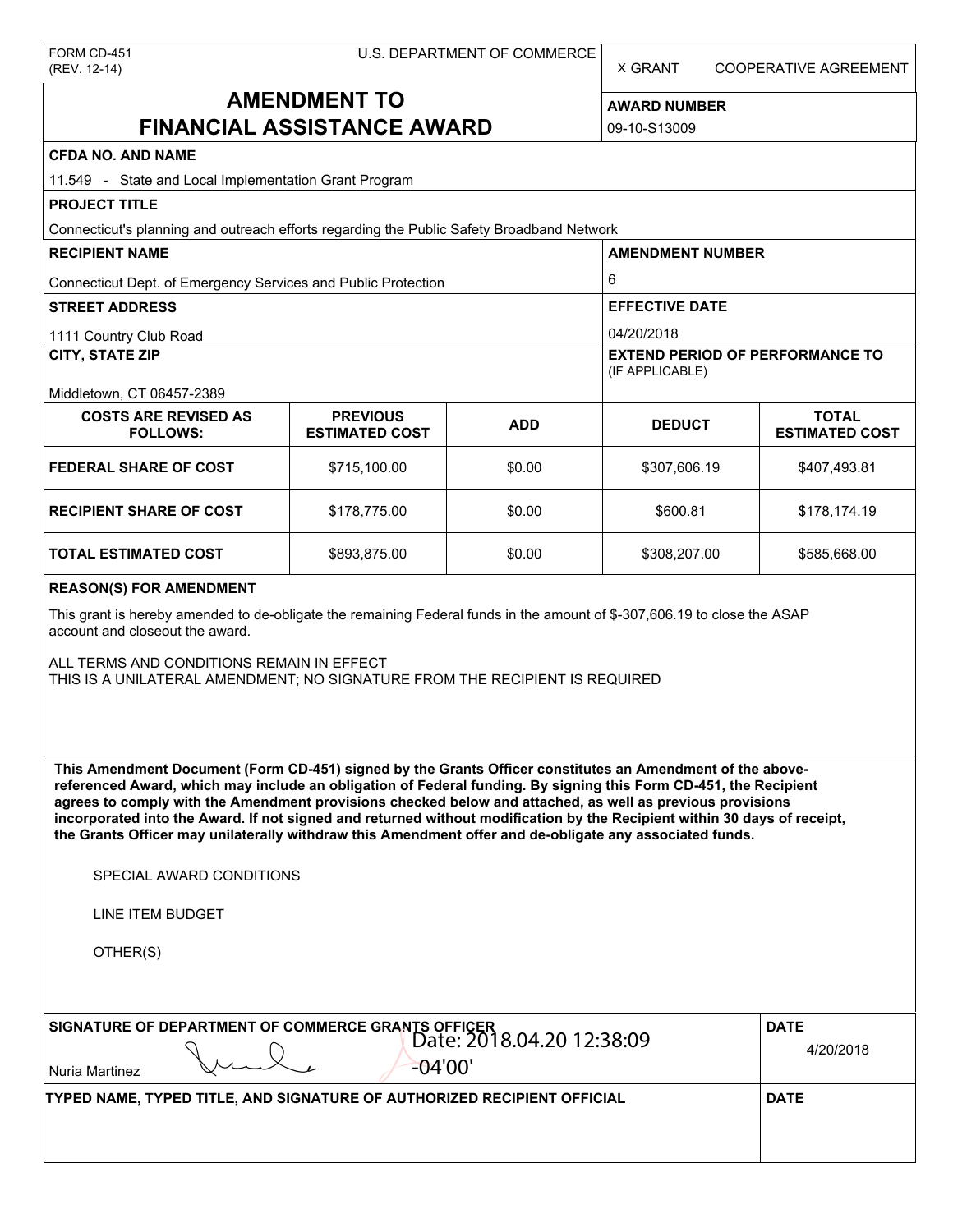X GRANT COOPERATIVE AGREEMENT

# **AMENDMENT TO FINANCIAL ASSISTANCE AWARD**

**AWARD NUMBER** 09-10-S13009

|  | CFDA NO. AND NAME |  |
|--|-------------------|--|
|  |                   |  |

| UFDA NU. AND NAME                                                                                                                                                                                                                                                                                                                                                                                                                                                                                                                                                                                                                             |                                          |            |                                        |                                       |  |
|-----------------------------------------------------------------------------------------------------------------------------------------------------------------------------------------------------------------------------------------------------------------------------------------------------------------------------------------------------------------------------------------------------------------------------------------------------------------------------------------------------------------------------------------------------------------------------------------------------------------------------------------------|------------------------------------------|------------|----------------------------------------|---------------------------------------|--|
| 11.549 - State and Local Implementation Grant Program<br><b>PROJECT TITLE</b>                                                                                                                                                                                                                                                                                                                                                                                                                                                                                                                                                                 |                                          |            |                                        |                                       |  |
| Connecticut's planning and outreach efforts regarding the Public Safety Broadband Network                                                                                                                                                                                                                                                                                                                                                                                                                                                                                                                                                     |                                          |            |                                        |                                       |  |
| <b>RECIPIENT NAME</b>                                                                                                                                                                                                                                                                                                                                                                                                                                                                                                                                                                                                                         |                                          |            | <b>AMENDMENT NUMBER</b>                |                                       |  |
| Connecticut Dept. of Emergency Services and Public Protection                                                                                                                                                                                                                                                                                                                                                                                                                                                                                                                                                                                 |                                          |            | 6                                      |                                       |  |
| <b>STREET ADDRESS</b>                                                                                                                                                                                                                                                                                                                                                                                                                                                                                                                                                                                                                         |                                          |            | <b>EFFECTIVE DATE</b>                  |                                       |  |
| 1111 Country Club Road                                                                                                                                                                                                                                                                                                                                                                                                                                                                                                                                                                                                                        |                                          |            | 04/20/2018                             |                                       |  |
| <b>CITY, STATE ZIP</b>                                                                                                                                                                                                                                                                                                                                                                                                                                                                                                                                                                                                                        |                                          |            | <b>EXTEND PERIOD OF PERFORMANCE TO</b> |                                       |  |
| Middletown, CT 06457-2389                                                                                                                                                                                                                                                                                                                                                                                                                                                                                                                                                                                                                     |                                          |            | (IF APPLICABLE)                        |                                       |  |
| <b>COSTS ARE REVISED AS</b><br><b>FOLLOWS:</b>                                                                                                                                                                                                                                                                                                                                                                                                                                                                                                                                                                                                | <b>PREVIOUS</b><br><b>ESTIMATED COST</b> | <b>ADD</b> | <b>DEDUCT</b>                          | <b>TOTAL</b><br><b>ESTIMATED COST</b> |  |
| <b>FEDERAL SHARE OF COST</b>                                                                                                                                                                                                                                                                                                                                                                                                                                                                                                                                                                                                                  | \$715,100.00                             | \$0.00     | \$307,606.19                           | \$407,493.81                          |  |
| <b>RECIPIENT SHARE OF COST</b>                                                                                                                                                                                                                                                                                                                                                                                                                                                                                                                                                                                                                | \$178,775.00                             | \$0.00     | \$600.81                               | \$178,174.19                          |  |
| <b>TOTAL ESTIMATED COST</b>                                                                                                                                                                                                                                                                                                                                                                                                                                                                                                                                                                                                                   | \$893,875.00                             | \$0.00     | \$308,207.00                           | \$585,668.00                          |  |
| This grant is hereby amended to de-obligate the remaining Federal funds in the amount of \$-307,606.19 to close the ASAP<br>account and closeout the award.<br>ALL TERMS AND CONDITIONS REMAIN IN EFFECT<br>THIS IS A UNILATERAL AMENDMENT; NO SIGNATURE FROM THE RECIPIENT IS REQUIRED                                                                                                                                                                                                                                                                                                                                                       |                                          |            |                                        |                                       |  |
| This Amendment Document (Form CD-451) signed by the Grants Officer constitutes an Amendment of the above-<br>referenced Award, which may include an obligation of Federal funding. By signing this Form CD-451, the Recipient<br>agrees to comply with the Amendment provisions checked below and attached, as well as previous provisions<br>incorporated into the Award. If not signed and returned without modification by the Recipient within 30 days of receipt,<br>the Grants Officer may unilaterally withdraw this Amendment offer and de-obligate any associated funds.<br>SPECIAL AWARD CONDITIONS<br>LINE ITEM BUDGET<br>OTHER(S) |                                          |            |                                        |                                       |  |
| SIGNATURE OF DEPARTMENT OF COMMERCE GRANTS OFFICER<br>Date: 2018.04.20 12:38:09<br>$-04'00'$<br>Nuria Martinez                                                                                                                                                                                                                                                                                                                                                                                                                                                                                                                                |                                          |            |                                        | <b>DATE</b><br>4/20/2018              |  |
| TYPED NAME, TYPED TITLE, AND SIGNATURE OF AUTHORIZED RECIPIENT OFFICIAL                                                                                                                                                                                                                                                                                                                                                                                                                                                                                                                                                                       |                                          |            |                                        | <b>DATE</b>                           |  |